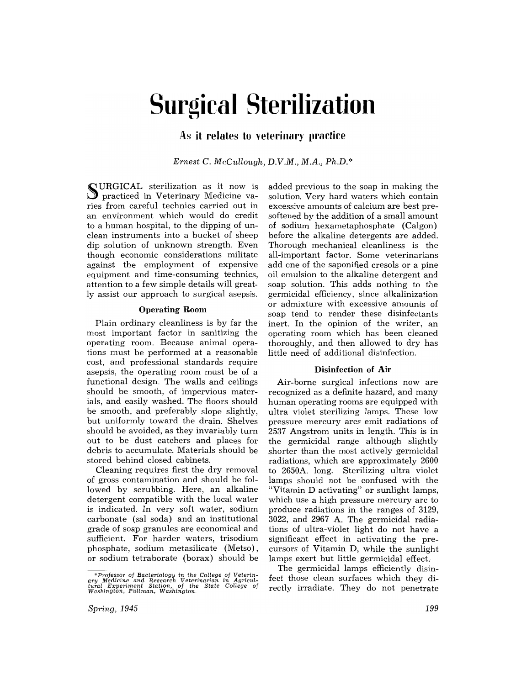# **Surgical Sterilization**

# As it relates to veterinary practice

*Ernest* C. *McCullough, D.V.M., M.A., Ph.D.\** 

~ URGICAL sterilization as it now is Ul practiced in Veterinary Medicine varies from careful technics carried out in an environment which would do credit to a human hospital, to the dipping of unclean instruments into a bucket of sheep dip solution of unknown strength. Even though economic considerations militate against the employment of expensive equipment and time-consuming technics, attention to a few simple details will greatly assist our approach to surgical asepsis.

#### Operating Room

Plain ordinary cleanliness is by far the most important factor in sanitizing the operating room. Because animal operations must be performed at a reasonable cost, and professional standards require asepsis, the operating room must be of a functional design. The walls and ceilings should be smooth, of impervious materials, and easily washed. The floors should be smooth, and preferably slope slightly, but uniformly toward the drain. Shelves should be avoided, as they invariably turn out to be dust catchers and places for debris to accumulate. Materials should be stored behind closed cabinets.

Cleaning requires first the dry removal of gross contamination and should be followed by scrubbing. Here, an alkaline detergent compatible with the local water is indicated. In very soft water, sodium carbonate (sal soda) and an institutional grade of soap granules are economical and sufficient. For harder waters, trisodium phosphate, sodium metasilicate (Metso), or sodium tetraborate (borax) should be added previous to the soap in making the solution. Very hard waters which contain excessive amounts of calcium are best presoftened by the addition of a small amount of sodium hexametaphosphate (Calgon) before the alkaline detergents are added. Thorough mechanical cleanliness is the all-important factor. Some veterinarians add cne of the saponified cresols or a pine oil emulsion to the alkaline detergent and soap solution. This adds nothing to the germicidal efficiency, since alkalinization or admixture with excessive amounts of soap tend to render these disinfectants inert. In the opinion of the writer, an operating room which has been cleaned thoroughly, and then allowed to dry has little need of additional disinfection.

#### Disinfection of Air

Air-borne surgical infections now are recognized as a definite hazard, and many human operating rooms are equipped with ultra violet sterilizing lamps. These low pressure mercury arcs emit radiations of 2537 Angstrom units in length. This is in the germicidal range although slightly shorter than the most actively germicidal radiations, which are approximately 2600 to 2650A. long. Sterilizing ultra violet lamps should not be confused with the "Vitamin D activating" or sunlight lamps, which use a high pressure mercury arc to produce radiations in the ranges of 3129, 3022, and 2967 A. The germicidal radiations of ultra-violet light do not have a significant effect in activating the precursors of Vitamin D, while the sunlight lamps exert but little germicidal effect.

The germicidal lamps efficiently disinfect those clean surfaces which they directly irradiate. They do not penetrate

<sup>\*</sup> Professor of Bacteriology in the College of Veterin-ary Medicine and Research Veterinarian in Agricul-tural Experiment Station. of the State College of Washington, Pullman, Washington.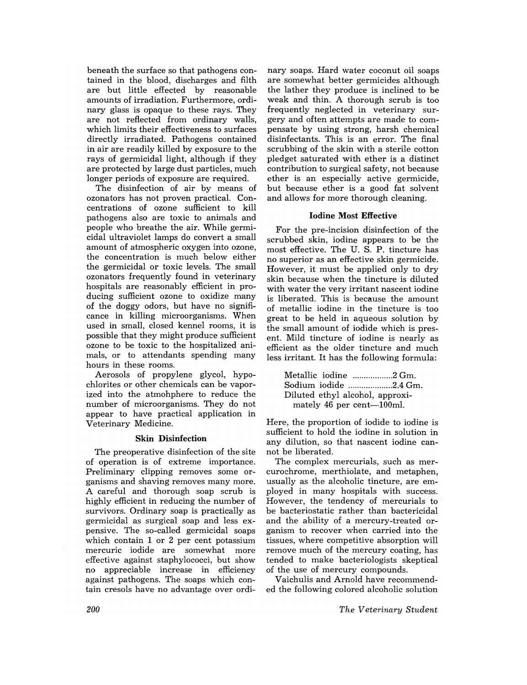beneath the surface so that pathogens contained in the blood, discharges and filth are but little effected by reasonable amounts of irradiation. Furthermore, ordinary glass is opaque to these rays. They are not reflected from ordinary walls, which limits their effectiveness to surfaces directly irradiated. Pathogens contained in air are readily killed by exposure to the rays of germicidal light, although if they are protected by large dust particles, much longer periods of exposure are required.

The disinfection of air by means of ozonators has not proven practical. Concentrations of ozone sufficient to kill pathogens also are toxic to animals and people who breathe the air. While germicidal ultraviolet lamps do convert a small amount of atmospheric oxygen into ozone, the concentration is much below either the germicidal or toxic levels. The small ozonators frequently found in veterinary hospitals are reasonably efficient in producing sufficient ozone to oxidize many of the doggy odors, but have no significance in killing microorganisms. When used in small, closed kennel rooms, it is possible that they might produce sufficient ozone to be toxic to the hospitalized animals, or to attendants spending many hours in these rooms.

Aerosols of propylene glycol, hypochlorites or other chemicals can be vaporized into the atmohphere to reduce the number of microorganisms. They do not appear to have practical application in Veterinary Medicine.

### Skin Disinfection

The preoperative disinfection of the site of operation is of extreme importance. Preliminary clipping removes some organisms and shaving removes many more. A careful and thorough soap scrub is highly efficient in reducing the number of survivors. Ordinary soap is practically as germicidal as surgical soap and less expensive. The so-called germicidal soaps which contain 1 or 2 per cent potassium mercuric iodide are somewhat more effective against staphylococci, but show no appreciable increase in efficiency against pathogens. The soaps which contain cresols have no advantage over ordinary soaps. Hard water coconut oil soaps are somewhat better germicides although the lather they produce is inclined to be weak and thin. A thorough scrub is too frequently neglected in veterinary surgery and often attempts are made to compensate by using strong, harsh chemical disinfectants. This is an error. The final scrubbing of the skin with a sterile cotton pledget saturated with ether is a distinct contribution to surgical safety, not because ether is an especially active germicide, but because ether is a good fat solvent and allows for more thorough cleaning.

#### Iodine Most Effective

For the pre-incision disinfection of the scrubbed skin, iodine appears to be the most effective. The U. S. P. tincture has no superior as an effective skin germicide. However, it must be applied only to dry skin because when the tincture is diluted with water the very irritant nascent iodine is liberated. This is because the amount of metallic iodine in the tincture is too great to be held in aqueous solution by the small amount of iodide which is present. Mild tincture of iodine is nearly as efficient as the older tincture and much less irritant. It has the following formula:

| Metallic iodine 2 Gm.           |  |
|---------------------------------|--|
| Sodium iodide 2.4 Gm.           |  |
| Diluted ethyl alcohol, approxi- |  |
| mately 46 per cent-100ml.       |  |

Here, the proportion of iodide to iodine is sufficient to hold the iodine in solution in any dilution, so that nascent iodine cannot be liberated.

The complex mercurials, such as mercurochrome, merthiolate, and metaphen, usually as the alcoholic tincture, are employed in many hospitals with success. However, the tendency of mercurials to be bacteriostatic rather than bactericidal and the ability of a mercury-treated organism to recover when carried into the tissues, where competitive absorption will remove much of the mercury coating, has tended to make bacteriologists skeptical of the use of mercury compounds.

Vaichulis and Arnold have recommended the following colored alcoholic solution

*The Veterinary Student*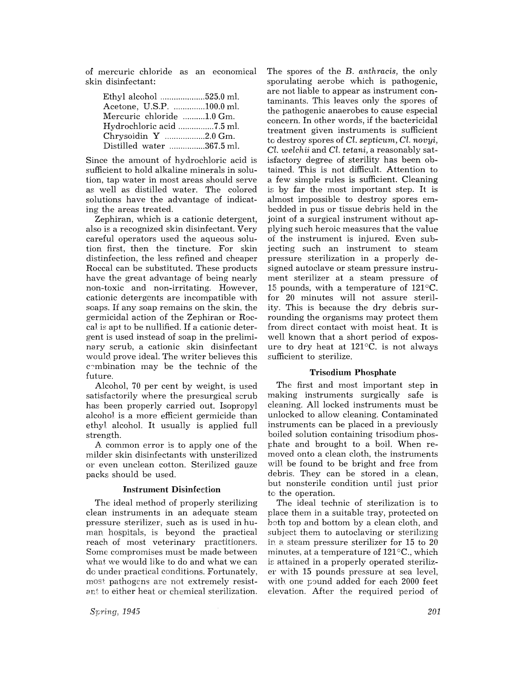of mercuric chloride as an economical skin disinfectant:

| Ethyl alcohol 525.0 ml.   |  |
|---------------------------|--|
| Acetone, U.S.P. 100.0 ml. |  |
| Mercuric chloride 1.0 Gm. |  |
|                           |  |
| Chrysoidin Y 2.0 Gm.      |  |
| Distilled water 367.5 ml. |  |

Since the amount of hydrochloric acid is sufficient to hold alkaline minerals in solution, tap water in most areas should serve as well as distilled water. The colored solutions have the advantage of indicating the areas treated.

Zephiran, which is a cationic detergent, also is a recognized skin disinfectant. Very careful operators used the aqueous solution first, then the tincture. For skin distinfection, the less refined and cheaper Roccal can be substituted. These products have the great advantage of being nearly non-toxic and non-irritating. However, cationic detergents are incompatible with soaps. If any soap remains on the skin, the germicidal action of the Zephiran or Roccal is apt to be nullified. If a cationic detergent is used instead of soap in the preliminary scrub, a cationic skin disinfectant would prove ideal. The writer believes this combination may be the technic of the future.

Alcohol, 70 per cent by weight, is used satisfactorily where the presurgical scrub has been properly carried out. Isopropyl alcohol is a more efficient germicide than ethyl alcohol. It usually is applied full strength.

A common error is to apply one of the milder skin disinfectants with unsterilized 01' even unclean cotton, Sterilized gauze packs should be used.

## Instrument Disinfection

The ideal method of properly sterilizing clean instruments in an adequate steam pressure sterilizer, such as is used in human hospitals, is beyond the practical reach of most veterinary practitioners. Some compromises must be made between what we would like to do and what we can de under practical conditions. Fortunately, most pathogens are not extremely resistant to either heat or chemical sterilization.

*Spring. 1945* 

The spores of the B. *anthracis*, the only sporulating aerobe which is pathogenic, are not liable to appear as instrument contaminants. This leaves only the spores of the pathogenic anaerobes to cause especial concern, In other words, if the bactericidal treatment given instruments is sufficient to destroy spores of *Cl. septicum, Cl. novyi*, *Cl. welchii* and *Cl. tetani*, a reasonably satisfactory degree of sterility has been obtained, This is not difficult. Attention to a few simple rules is sufficient. Cleaning is by far the most important step. It is almost impossible to destroy spores embedded in pus or tissue debris held in the joint of a surgical instrument without applying such heroic measures that the value of the instrument is injured. Even subjecting such an instrument to steam pressure sterilization in a properly designed autoclave or steam pressure instrument sterilizer at a steam pressure of 15 pounds, with a temperature of  $121^{\circ}$ C. for 20 minutes will not assure sterility. This is because the dry debris surrounding the organisms may protect them from direct contact with moist heat. It is well known that a short period of exposure to dry heat at  $121^{\circ}$ C. is not always sufficient to sterilize.

#### Trisodium Phosphate

The first and most important step in making instruments surgically safe is cleaning. All locked instruments must be unlocked to allow cleaning. Contaminated instruments can be placed in a previously boiled solution containing trisodium phosphate and brought to a boil. When removed onto a clean cloth, the instruments will be found to be bright and free from debris. They can be stored in a clean, but nonsterile condition until just prior to the operation.

The ideal technic of sterilization is to place them in a suitable tray, protected on both top and bottom by a clean cloth, and subject them to autoclaving or sterilizing in a steam pressure sterilizer for  $15$  to  $20$ minutes, at a temperature of  $121^{\circ}$ C., which is attained in a properly operated sterilizer with 15 pounds pressure at sea level, with one pound added for each 2000 feet elevation. After the required period of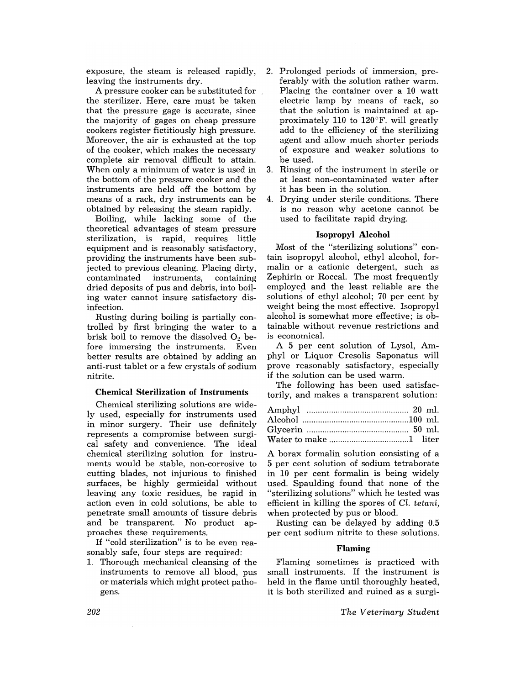exposure, the steam is released rapidly, leaving the instruments dry.

A pressure cooker can be substituted for the sterilizer. Here, care must be taken that the pressure gage is accurate, since the majority of gages on cheap pressure cookers register fictitiously high pressure. Moreover, the air is exhausted at the top of the cooker, which makes the necessary complete air removal difficult to attain. When only a minimum of water is used in the bottom of the pressure cooker and the instruments are held off the bottom by means of a rack, dry instruments can be obtained by releasing the steam rapidly.

Boiling, while lacking some of the theoretical advantages of steam pressure sterilization, is rapid, requires little equipment and is reasonably satisfactory, providing the instruments have been subjected to previous cleaning. Placing dirty, contaminated instruments, containing dried deposits of pus and debris, into boiling water cannot insure satisfactory disinfection.

Rusting during boiling is partially controlled by first bringing the water to a brisk boil to remove the dissolved  $O_2$  before immersing the instruments. Even better results are obtained by adding an anti-rust tablet or a few crystals of sodium nitrite.

# Chemical Sterilization of Instruments

Chemical sterilizing solutions are widely used, especially for instruments used in minor surgery. Their use definitely represents a compromise between surgical safety and convenience. The ideal chemical sterilizing solution for instruments would be stable, non-corrosive to cutting blades, not injurious to finished surfaces, be highly germicidal without leaving any toxic residues, be rapid in action even in cold solutions, be able to penetrate small amounts of tissure debris and be transparent. No product approaches these requirements.

If "cold sterilization" is to be even reasonably safe, four steps are required:

1. Thorough mechanical cleansing of the instruments to remove all blood, pus or materials which might protect pathogens.

- 2. Prolonged periods of immersion, preferably with the solution rather warm. Placing the container over a 10 watt electric lamp by means of rack, so that the solution is maintained at approximately 110 to 120°F. will greatly add to the efficiency of the sterilizing agent and allow much shorter periods of exposure and weaker solutions to be used.
- 3. Rinsing of the instrument in sterile or at least non-contaminated water after it has been in the solution.
- 4. Drying under sterile conditions. There is no reason why acetone cannot be used to facilitate rapid drying.

#### Isopropyl Alcohol

Most of the "sterilizing solutions" contain isopropyl alcohol, ethyl alcohol, formalin or a cationic detergent, such as Zephirin or Roccal. The most frequently employed and the least reliable are the solutions of ethyl alcohol; 70 per cent by weight being the most effective. Isopropyl alcohol is somewhat more effective; is obtainable without revenue restrictions and is economicaL

A 5 per cent solution of Lysol, Amphyl or Liquor Cresolis Saponatus will prove reasonably satisfactory, especially if the solution can be used warm.

The following has been used satisfactorily, and makes a transparent solution:

A borax formalin solution consisting of a 5 per cent solution of sodium tetraborate in 10 per cent formalin is being widely used. Spaulding found that none of the "sterilizing solutions" which he tested was efficient in killing the spores of *Cl. tetani,*  when protected by pus or blood.

Rusting can be delayed by adding 0.5 per cent sodium nitrite to these solutions.

#### Flaming

Flaming sometimes is practiced with small instruments. If the instrument is held in the flame until thoroughly heated, it is both sterilized and ruined as a surgi